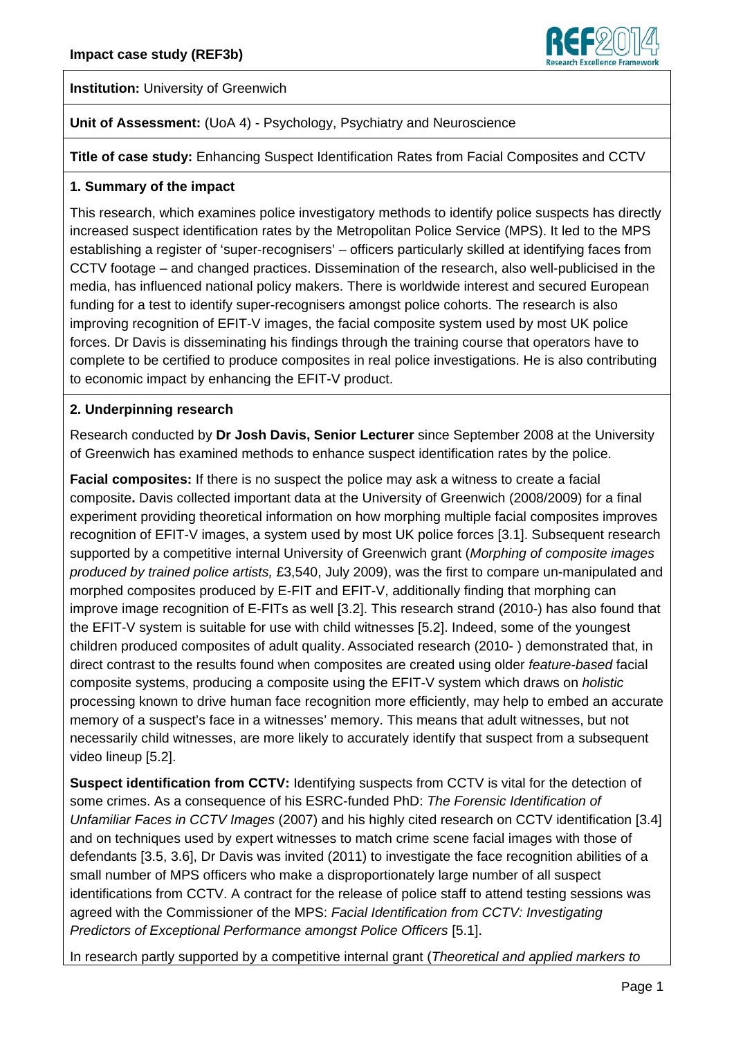

**Institution:** University of Greenwich

# **Unit of Assessment:** (UoA 4) - Psychology, Psychiatry and Neuroscience

**Title of case study:** Enhancing Suspect Identification Rates from Facial Composites and CCTV

#### **1. Summary of the impact**

This research, which examines police investigatory methods to identify police suspects has directly increased suspect identification rates by the Metropolitan Police Service (MPS). It led to the MPS establishing a register of 'super-recognisers' – officers particularly skilled at identifying faces from CCTV footage – and changed practices. Dissemination of the research, also well-publicised in the media, has influenced national policy makers. There is worldwide interest and secured European funding for a test to identify super-recognisers amongst police cohorts. The research is also improving recognition of EFIT-V images, the facial composite system used by most UK police forces. Dr Davis is disseminating his findings through the training course that operators have to complete to be certified to produce composites in real police investigations. He is also contributing to economic impact by enhancing the EFIT-V product.

#### **2. Underpinning research**

Research conducted by **Dr Josh Davis, Senior Lecturer** since September 2008 at the University of Greenwich has examined methods to enhance suspect identification rates by the police.

**Facial composites:** If there is no suspect the police may ask a witness to create a facial composite**.** Davis collected important data at the University of Greenwich (2008/2009) for a final experiment providing theoretical information on how morphing multiple facial composites improves recognition of EFIT-V images, a system used by most UK police forces [3.1]. Subsequent research supported by a competitive internal University of Greenwich grant (*Morphing of composite images produced by trained police artists,* £3,540, July 2009), was the first to compare un-manipulated and morphed composites produced by E-FIT and EFIT-V, additionally finding that morphing can improve image recognition of E-FITs as well [3.2]. This research strand (2010-) has also found that the EFIT-V system is suitable for use with child witnesses [5.2]. Indeed, some of the youngest children produced composites of adult quality. Associated research (2010- ) demonstrated that, in direct contrast to the results found when composites are created using older *feature-based* facial composite systems, producing a composite using the EFIT-V system which draws on *holistic*  processing known to drive human face recognition more efficiently, may help to embed an accurate memory of a suspect's face in a witnesses' memory. This means that adult witnesses, but not necessarily child witnesses, are more likely to accurately identify that suspect from a subsequent video lineup [5.2].

**Suspect identification from CCTV:** Identifying suspects from CCTV is vital for the detection of some crimes. As a consequence of his ESRC-funded PhD: *The Forensic Identification of Unfamiliar Faces in CCTV Images* (2007) and his highly cited research on CCTV identification [3.4] and on techniques used by expert witnesses to match crime scene facial images with those of defendants [3.5, 3.6], Dr Davis was invited (2011) to investigate the face recognition abilities of a small number of MPS officers who make a disproportionately large number of all suspect identifications from CCTV. A contract for the release of police staff to attend testing sessions was agreed with the Commissioner of the MPS: *Facial Identification from CCTV: Investigating Predictors of Exceptional Performance amongst Police Officers* [5.1].

In research partly supported by a competitive internal grant (*Theoretical and applied markers to*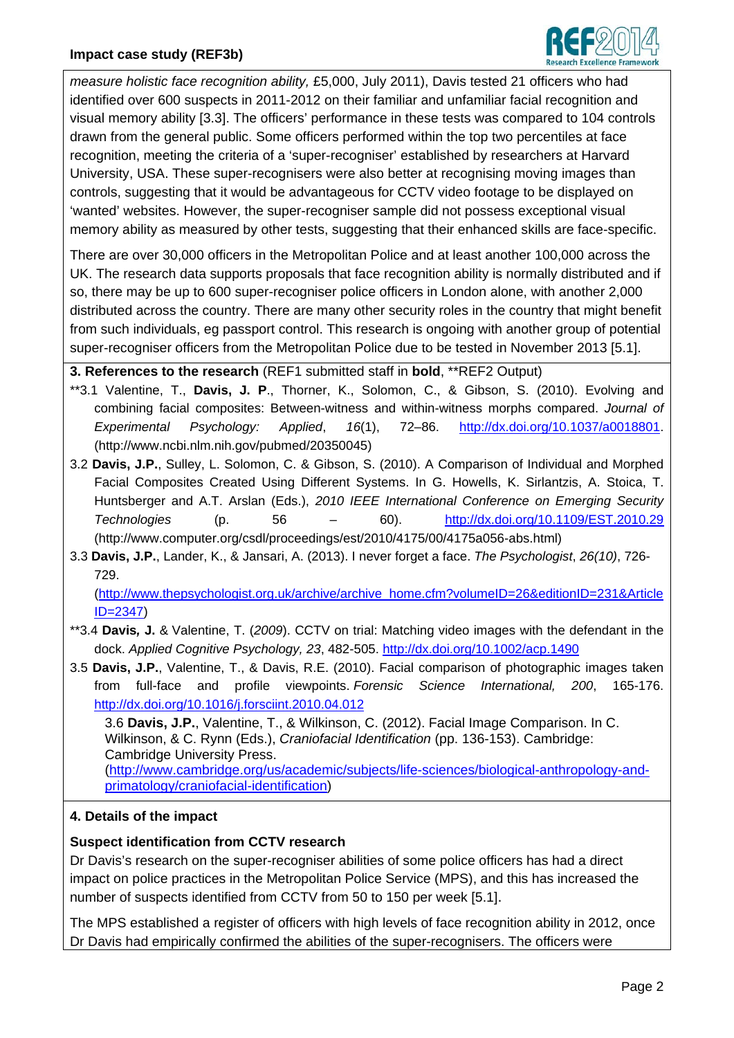

*measure holistic face recognition ability,* £5,000, July 2011), Davis tested 21 officers who had identified over 600 suspects in 2011-2012 on their familiar and unfamiliar facial recognition and visual memory ability [3.3]. The officers' performance in these tests was compared to 104 controls drawn from the general public. Some officers performed within the top two percentiles at face recognition, meeting the criteria of a 'super-recogniser' established by researchers at Harvard University, USA. These super-recognisers were also better at recognising moving images than controls, suggesting that it would be advantageous for CCTV video footage to be displayed on 'wanted' websites. However, the super-recogniser sample did not possess exceptional visual memory ability as measured by other tests, suggesting that their enhanced skills are face-specific.

There are over 30,000 officers in the Metropolitan Police and at least another 100,000 across the UK. The research data supports proposals that face recognition ability is normally distributed and if so, there may be up to 600 super-recogniser police officers in London alone, with another 2,000 distributed across the country. There are many other security roles in the country that might benefit from such individuals, eg passport control. This research is ongoing with another group of potential super-recogniser officers from the Metropolitan Police due to be tested in November 2013 [5.1].

**3. References to the research** (REF1 submitted staff in **bold**, \*\*REF2 Output)

- \*\*3.1 Valentine, T., **Davis, J. P**., Thorner, K., Solomon, C., & Gibson, S. (2010). Evolving and combining facial composites: Between-witness and within-witness morphs compared. *Journal of Experimental Psychology: Applied*, *16*(1), 72–86. http://dx.doi.org/10.1037/a0018801. (http://www.ncbi.nlm.nih.gov/pubmed/20350045)
- 3.2 **Davis, J.P.**, Sulley, L. Solomon, C. & Gibson, S. (2010). A Comparison of Individual and Morphed Facial Composites Created Using Different Systems. In G. Howells, K. Sirlantzis, A. Stoica, T. Huntsberger and A.T. Arslan (Eds.), *2010 IEEE International Conference on Emerging Security Technologies* (p. 56 – 60). http://dx.doi.org/10.1109/EST.2010.29 (http://www.computer.org/csdl/proceedings/est/2010/4175/00/4175a056-abs.html)
- 3.3 **Davis, J.P.**, Lander, K., & Jansari, A. (2013). I never forget a face. *The Psychologist*, *26(10)*, 726- 729.

(http://www.thepsychologist.org.uk/archive/archive\_home.cfm?volumeID=26&editionID=231&Article ID=2347)

- \*\*3.4 **Davis***,* **J.** & Valentine, T. (*2009*). CCTV on trial: Matching video images with the defendant in the dock. *Applied Cognitive Psychology, 23*, 482-505. http://dx.doi.org/10.1002/acp.1490
- 3.5 **Davis, J.P.**, Valentine, T., & Davis, R.E. (2010). Facial comparison of photographic images taken from full-face and profile viewpoints. *Forensic Science International, 200*, 165-176. http://dx.doi.org/10.1016/j.forsciint.2010.04.012

3.6 **Davis, J.P.**, Valentine, T., & Wilkinson, C. (2012). Facial Image Comparison. In C. Wilkinson, & C. Rynn (Eds.), *Craniofacial Identification* (pp. 136-153). Cambridge: Cambridge University Press. (http://www.cambridge.org/us/academic/subjects/life-sciences/biological-anthropology-andprimatology/craniofacial-identification)

# **4. Details of the impact**

# **Suspect identification from CCTV research**

Dr Davis's research on the super-recogniser abilities of some police officers has had a direct impact on police practices in the Metropolitan Police Service (MPS), and this has increased the number of suspects identified from CCTV from 50 to 150 per week [5.1].

The MPS established a register of officers with high levels of face recognition ability in 2012, once Dr Davis had empirically confirmed the abilities of the super-recognisers. The officers were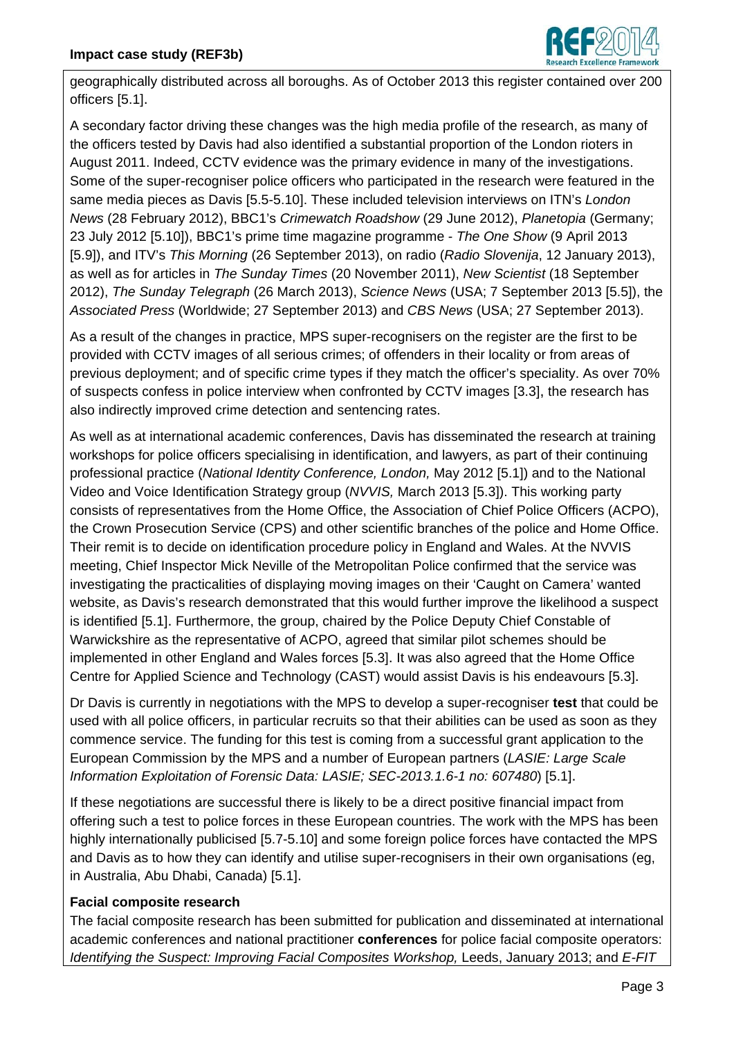

geographically distributed across all boroughs. As of October 2013 this register contained over 200 officers [5.1].

A secondary factor driving these changes was the high media profile of the research, as many of the officers tested by Davis had also identified a substantial proportion of the London rioters in August 2011. Indeed, CCTV evidence was the primary evidence in many of the investigations. Some of the super-recogniser police officers who participated in the research were featured in the same media pieces as Davis [5.5-5.10]. These included television interviews on ITN's *London News* (28 February 2012), BBC1's *Crimewatch Roadshow* (29 June 2012), *Planetopia* (Germany; 23 July 2012 [5.10]), BBC1's prime time magazine programme - *The One Show* (9 April 2013 [5.9]), and ITV's *This Morning* (26 September 2013), on radio (*Radio Slovenija*, 12 January 2013), as well as for articles in *The Sunday Times* (20 November 2011), *New Scientist* (18 September 2012), *The Sunday Telegraph* (26 March 2013), *Science News* (USA; 7 September 2013 [5.5]), the *Associated Press* (Worldwide; 27 September 2013) and *CBS News* (USA; 27 September 2013).

As a result of the changes in practice, MPS super-recognisers on the register are the first to be provided with CCTV images of all serious crimes; of offenders in their locality or from areas of previous deployment; and of specific crime types if they match the officer's speciality. As over 70% of suspects confess in police interview when confronted by CCTV images [3.3], the research has also indirectly improved crime detection and sentencing rates.

As well as at international academic conferences, Davis has disseminated the research at training workshops for police officers specialising in identification, and lawyers, as part of their continuing professional practice (*National Identity Conference, London,* May 2012 [5.1]) and to the National Video and Voice Identification Strategy group (*NVVIS,* March 2013 [5.3]). This working party consists of representatives from the Home Office, the Association of Chief Police Officers (ACPO), the Crown Prosecution Service (CPS) and other scientific branches of the police and Home Office. Their remit is to decide on identification procedure policy in England and Wales. At the NVVIS meeting, Chief Inspector Mick Neville of the Metropolitan Police confirmed that the service was investigating the practicalities of displaying moving images on their 'Caught on Camera' wanted website, as Davis's research demonstrated that this would further improve the likelihood a suspect is identified [5.1]. Furthermore, the group, chaired by the Police Deputy Chief Constable of Warwickshire as the representative of ACPO, agreed that similar pilot schemes should be implemented in other England and Wales forces [5.3]. It was also agreed that the Home Office Centre for Applied Science and Technology (CAST) would assist Davis is his endeavours [5.3].

Dr Davis is currently in negotiations with the MPS to develop a super-recogniser **test** that could be used with all police officers, in particular recruits so that their abilities can be used as soon as they commence service. The funding for this test is coming from a successful grant application to the European Commission by the MPS and a number of European partners (*LASIE: Large Scale Information Exploitation of Forensic Data: LASIE; SEC-2013.1.6-1 no: 607480*) [5.1].

If these negotiations are successful there is likely to be a direct positive financial impact from offering such a test to police forces in these European countries. The work with the MPS has been highly internationally publicised [5.7-5.10] and some foreign police forces have contacted the MPS and Davis as to how they can identify and utilise super-recognisers in their own organisations (eg, in Australia, Abu Dhabi, Canada) [5.1].

# **Facial composite research**

The facial composite research has been submitted for publication and disseminated at international academic conferences and national practitioner **conferences** for police facial composite operators: *Identifying the Suspect: Improving Facial Composites Workshop, Leeds, January 2013; and E-FIT*